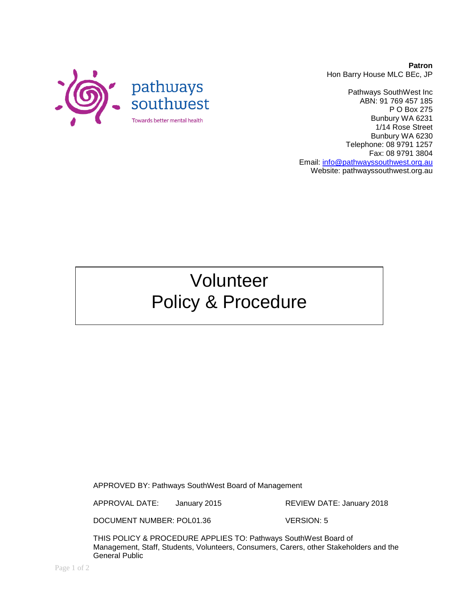

**Patron** Hon Barry House MLC BEc, JP

Pathways SouthWest Inc ABN: 91 769 457 185 P O Box 275 Bunbury WA 6231 1/14 Rose Street Bunbury WA 6230 Telephone: 08 9791 1257 Fax: 08 9791 3804 Email: [info@pathwayssouthwest.org.au](mailto:info@pathwayssouthwest.org.au) Website: pathwayssouthwest.org.au

# Volunteer Policy & Procedure

APPROVED BY: Pathways SouthWest Board of Management

APPROVAL DATE: January 2015 REVIEW DATE: January 2018

DOCUMENT NUMBER: POL01.36 VERSION: 5

THIS POLICY & PROCEDURE APPLIES TO: Pathways SouthWest Board of Management, Staff, Students, Volunteers, Consumers, Carers, other Stakeholders and the General Public